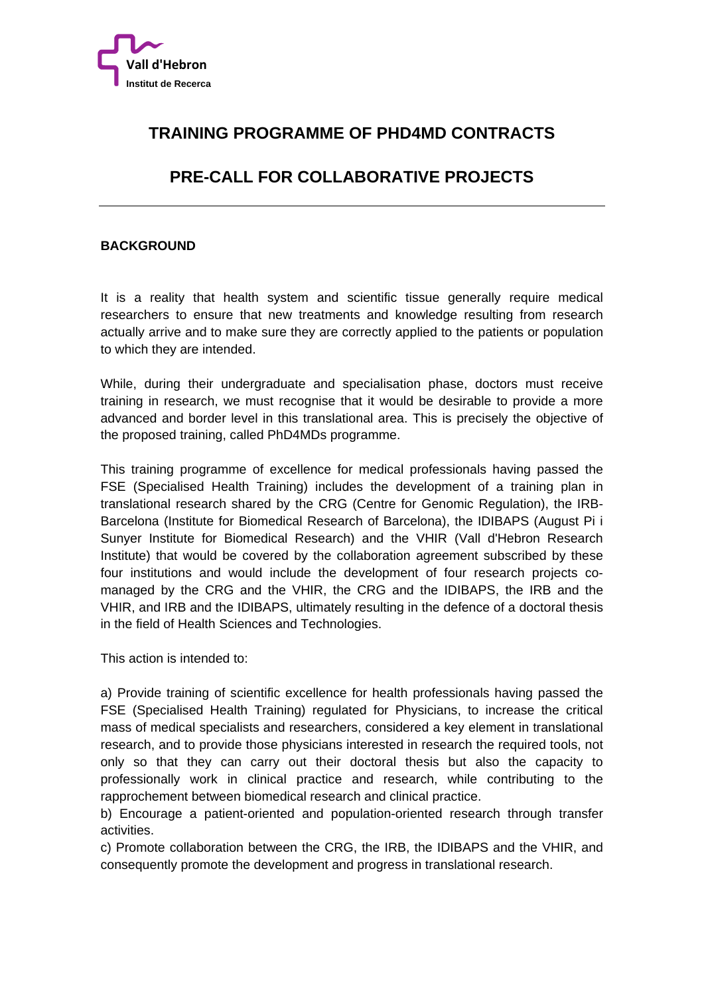

# **TRAINING PROGRAMME OF PHD4MD CONTRACTS**

# **PRE-CALL FOR COLLABORATIVE PROJECTS**

#### **BACKGROUND**

It is a reality that health system and scientific tissue generally require medical researchers to ensure that new treatments and knowledge resulting from research actually arrive and to make sure they are correctly applied to the patients or population to which they are intended.

While, during their undergraduate and specialisation phase, doctors must receive training in research, we must recognise that it would be desirable to provide a more advanced and border level in this translational area. This is precisely the objective of the proposed training, called PhD4MDs programme.

This training programme of excellence for medical professionals having passed the FSE (Specialised Health Training) includes the development of a training plan in translational research shared by the CRG (Centre for Genomic Regulation), the IRB-Barcelona (Institute for Biomedical Research of Barcelona), the IDIBAPS (August Pi i Sunyer Institute for Biomedical Research) and the VHIR (Vall d'Hebron Research Institute) that would be covered by the collaboration agreement subscribed by these four institutions and would include the development of four research projects comanaged by the CRG and the VHIR, the CRG and the IDIBAPS, the IRB and the VHIR, and IRB and the IDIBAPS, ultimately resulting in the defence of a doctoral thesis in the field of Health Sciences and Technologies.

This action is intended to:

a) Provide training of scientific excellence for health professionals having passed the FSE (Specialised Health Training) regulated for Physicians, to increase the critical mass of medical specialists and researchers, considered a key element in translational research, and to provide those physicians interested in research the required tools, not only so that they can carry out their doctoral thesis but also the capacity to professionally work in clinical practice and research, while contributing to the rapprochement between biomedical research and clinical practice.

b) Encourage a patient-oriented and population-oriented research through transfer activities.

c) Promote collaboration between the CRG, the IRB, the IDIBAPS and the VHIR, and consequently promote the development and progress in translational research.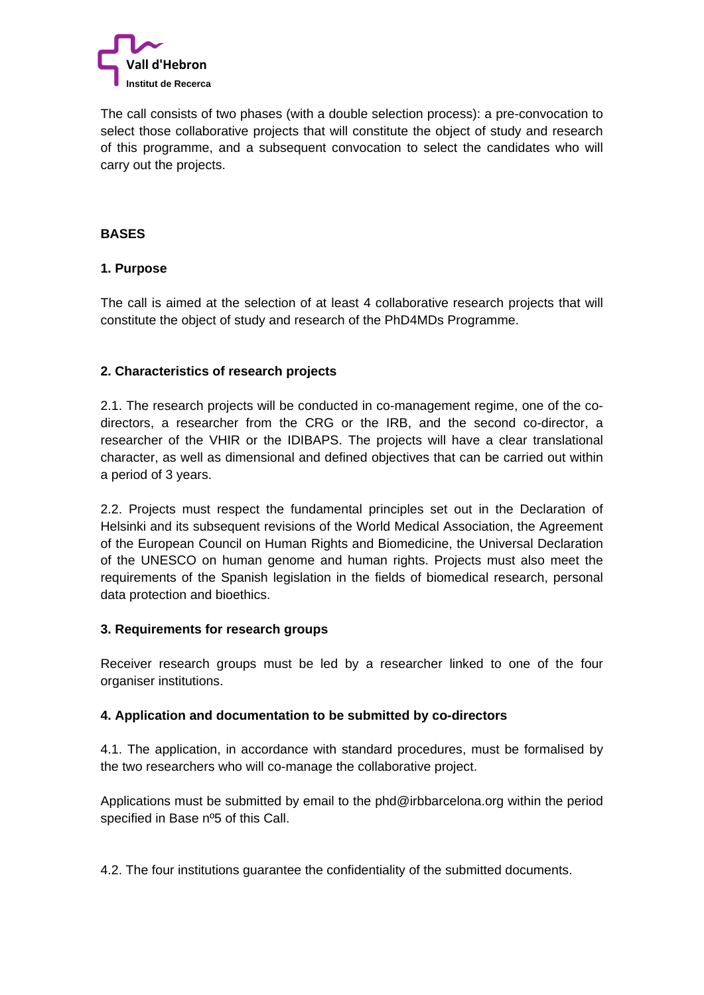

The call consists of two phases (with a double selection process): a pre-convocation to select those collaborative projects that will constitute the object of study and research of this programme, and a subsequent convocation to select the candidates who will carry out the projects.

#### **BASES**

#### **1. Purpose**

The call is aimed at the selection of at least 4 collaborative research projects that will constitute the object of study and research of the PhD4MDs Programme.

#### **2. Characteristics of research projects**

2.1. The research projects will be conducted in co-management regime, one of the codirectors, a researcher from the CRG or the IRB, and the second co-director, a researcher of the VHIR or the IDIBAPS. The projects will have a clear translational character, as well as dimensional and defined objectives that can be carried out within a period of 3 years.

2.2. Projects must respect the fundamental principles set out in the Declaration of Helsinki and its subsequent revisions of the World Medical Association, the Agreement of the European Council on Human Rights and Biomedicine, the Universal Declaration of the UNESCO on human genome and human rights. Projects must also meet the requirements of the Spanish legislation in the fields of biomedical research, personal data protection and bioethics.

#### **3. Requirements for research groups**

Receiver research groups must be led by a researcher linked to one of the four organiser institutions.

#### **4. Application and documentation to be submitted by co-directors**

4.1. The application, in accordance with standard procedures, must be formalised by the two researchers who will co-manage the collaborative project.

Applications must be submitted by email to the phd@irbbarcelona.org within the period specified in Base nº5 of this Call.

4.2. The four institutions guarantee the confidentiality of the submitted documents.